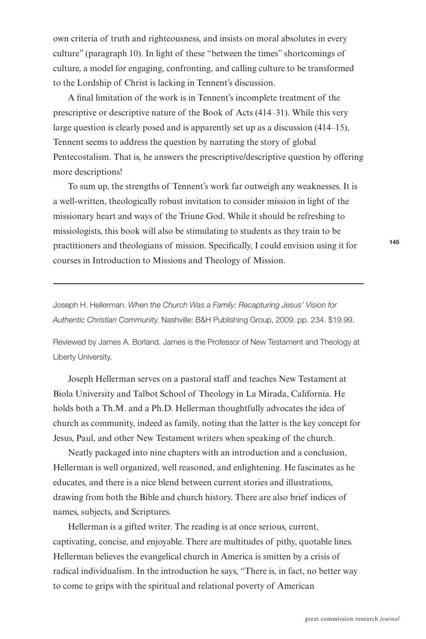own criteria of truth and righteousness, and insists on moral absolutes in every culture" (paragraph 10). In light of these "between the times" shortcomings of culture, a model for engaging, confronting, and calling culture to be transformed to the Lordship of Christ is lacking in Tennent's discussion.

A final limitation of the work is in Tennent's incomplete treatment of the prescriptive or descriptive nature of the Book of Acts (414–31). While this very large question is clearly posed and is apparently set up as a discussion (414–15), Tennent seems to address the question by narrating the story of global Pentecostalism. That is, he answers the prescriptive/descriptive question by offering more descriptions!

To sum up, the strengths of Tennent's work far outweigh any weaknesses. It is a well-written, theologically robust invitation to consider mission in light of the missionary heart and ways of the Triune God. While it should be refreshing to missiologists, this book will also be stimulating to students as they train to be practitioners and theologians of mission. Specifically, I could envision using it for courses in Introduction to Missions and Theology of Mission.

Joseph H. Hellerman. When the Church Was a Family: Recapturing Jesus' Vision for Authentic Christian Community. Nashville: B&H Publishing Group, 2009. pp. 234. \$19.99.

Reviewed by James A. Borland. James is the Professor of New Testament and Theology at Liberty University.

Joseph Hellerman serves on a pastoral staff and teaches New Testament at Biola University and Talbot School of Theology in La Mirada, California. He holds both a Th.M. and a Ph.D. Hellerman thoughtfully advocates the idea of church as community, indeed as family, noting that the latter is the key concept for Jesus, Paul, and other New Testament writers when speaking of the church.

Neatly packaged into nine chapters with an introduction and a conclusion, Hellerman is well organized, well reasoned, and enlightening. He fascinates as he educates, and there is a nice blend between current stories and illustrations, drawing from both the Bible and church history. There are also brief indices of names, subjects, and Scriptures.

Hellerman is a gifted writer. The reading is at once serious, current, captivating, concise, and enjoyable. There are multitudes of pithy, quotable lines. Hellerman believes the evangelical church in America is smitten by a crisis of radical individualism. In the introduction he says, "There is, in fact, no better way to come to grips with the spiritual and relational poverty of American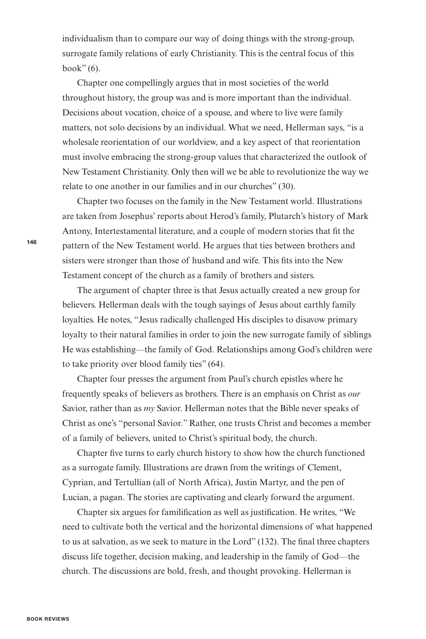individualism than to compare our way of doing things with the strong-group, surrogate family relations of early Christianity. This is the central focus of this book" $(6)$ .

Chapter one compellingly argues that in most societies of the world throughout history, the group was and is more important than the individual. Decisions about vocation, choice of a spouse, and where to live were family matters, not solo decisions by an individual. What we need, Hellerman says, "is a wholesale reorientation of our worldview, and a key aspect of that reorientation must involve embracing the strong-group values that characterized the outlook of New Testament Christianity. Only then will we be able to revolutionize the way we relate to one another in our families and in our churches" (30).

Chapter two focuses on the family in the New Testament world. Illustrations are taken from Josephus' reports about Herod's family, Plutarch's history of Mark Antony, Intertestamental literature, and a couple of modern stories that fit the pattern of the New Testament world. He argues that ties between brothers and sisters were stronger than those of husband and wife. This fits into the New Testament concept of the church as a family of brothers and sisters.

The argument of chapter three is that Jesus actually created a new group for believers. Hellerman deals with the tough sayings of Jesus about earthly family loyalties. He notes, "Jesus radically challenged His disciples to disavow primary loyalty to their natural families in order to join the new surrogate family of siblings He was establishing—the family of God. Relationships among God's children were to take priority over blood family ties" (64).

Chapter four presses the argument from Paul's church epistles where he frequently speaks of believers as brothers. There is an emphasis on Christ as *our* Savior, rather than as *my* Savior. Hellerman notes that the Bible never speaks of Christ as one's "personal Savior." Rather, one trusts Christ and becomes a member of a family of believers, united to Christ's spiritual body, the church.

Chapter five turns to early church history to show how the church functioned as a surrogate family. Illustrations are drawn from the writings of Clement, Cyprian, and Tertullian (all of North Africa), Justin Martyr, and the pen of Lucian, a pagan. The stories are captivating and clearly forward the argument.

Chapter six argues for familification as well as justification. He writes, "We need to cultivate both the vertical and the horizontal dimensions of what happened to us at salvation, as we seek to mature in the Lord" (132). The final three chapters discuss life together, decision making, and leadership in the family of God—the church. The discussions are bold, fresh, and thought provoking. Hellerman is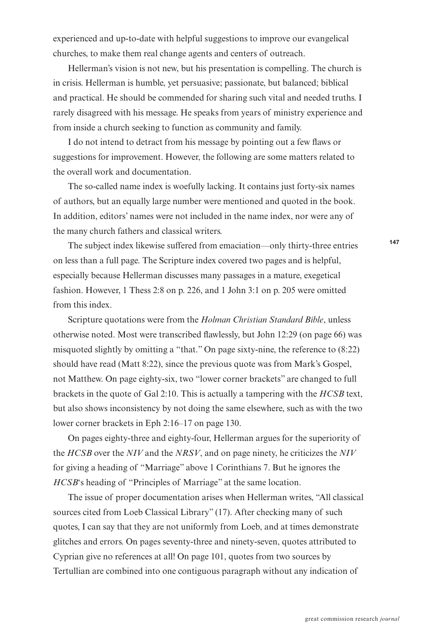experienced and up-to-date with helpful suggestions to improve our evangelical churches, to make them real change agents and centers of outreach.

Hellerman's vision is not new, but his presentation is compelling. The church is in crisis. Hellerman is humble, yet persuasive; passionate, but balanced; biblical and practical. He should be commended for sharing such vital and needed truths. I rarely disagreed with his message. He speaks from years of ministry experience and from inside a church seeking to function as community and family.

I do not intend to detract from his message by pointing out a few flaws or suggestions for improvement. However, the following are some matters related to the overall work and documentation.

The so-called name index is woefully lacking. It contains just forty-six names of authors, but an equally large number were mentioned and quoted in the book. In addition, editors' names were not included in the name index, nor were any of the many church fathers and classical writers.

The subject index likewise suffered from emaciation—only thirty-three entries on less than a full page. The Scripture index covered two pages and is helpful, especially because Hellerman discusses many passages in a mature, exegetical fashion. However, 1 Thess 2:8 on p. 226, and 1 John 3:1 on p. 205 were omitted from this index.

Scripture quotations were from the *Holman Christian Standard Bible*, unless otherwise noted. Most were transcribed Yawlessly, but John 12:29 (on page 66) was misquoted slightly by omitting a "that." On page sixty-nine, the reference to (8:22) should have read (Matt 8:22), since the previous quote was from Mark's Gospel, not Matthew. On page eighty-six, two "lower corner brackets" are changed to full brackets in the quote of Gal 2:10. This is actually a tampering with the *HCSB* text, but also shows inconsistency by not doing the same elsewhere, such as with the two lower corner brackets in Eph 2:16–17 on page 130.

On pages eighty-three and eighty-four, Hellerman argues for the superiority of the *HCSB* over the *NIV* and the *NRSV*, and on page ninety, he criticizes the *NIV* for giving a heading of "Marriage" above 1 Corinthians 7. But he ignores the *HCSB*'s heading of "Principles of Marriage" at the same location.

The issue of proper documentation arises when Hellerman writes, "All classical sources cited from Loeb Classical Library" (17). After checking many of such quotes, I can say that they are not uniformly from Loeb, and at times demonstrate glitches and errors. On pages seventy-three and ninety-seven, quotes attributed to Cyprian give no references at all! On page 101, quotes from two sources by Tertullian are combined into one contiguous paragraph without any indication of